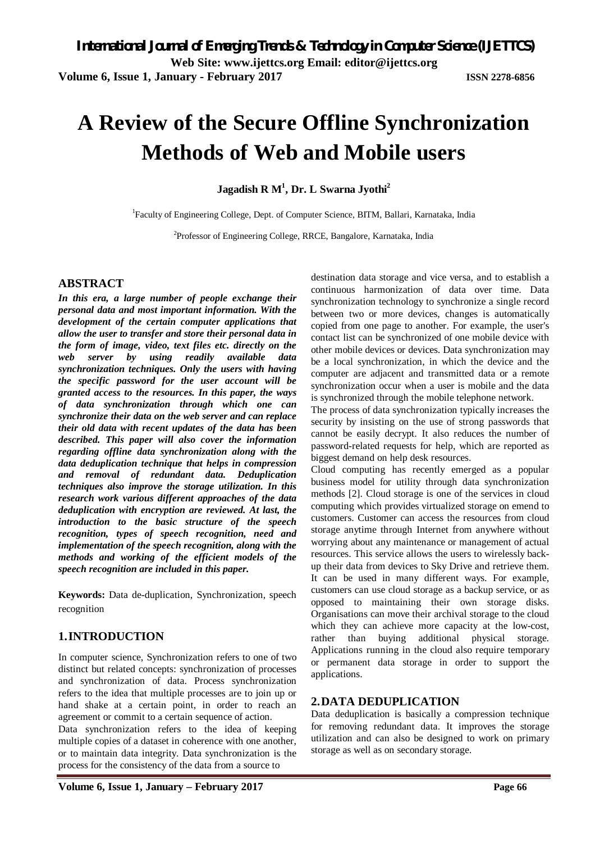# **A Review of the Secure Offline Synchronization Methods of Web and Mobile users**

**Jagadish R M<sup>1</sup> , Dr. L Swarna Jyothi<sup>2</sup>**

<sup>1</sup>Faculty of Engineering College, Dept. of Computer Science, BITM, Ballari, Karnataka, India

<sup>2</sup>Professor of Engineering College, RRCE, Bangalore, Karnataka, India

# **ABSTRACT**

*In this era, a large number of people exchange their personal data and most important information. With the development of the certain computer applications that allow the user to transfer and store their personal data in the form of image, video, text files etc. directly on the web server by using readily available data synchronization techniques. Only the users with having the specific password for the user account will be granted access to the resources. In this paper, the ways of data synchronization through which one can synchronize their data on the web server and can replace their old data with recent updates of the data has been described. This paper will also cover the information regarding offline data synchronization along with the data deduplication technique that helps in compression and removal of redundant data. Deduplication techniques also improve the storage utilization. In this research work various different approaches of the data deduplication with encryption are reviewed. At last, the introduction to the basic structure of the speech recognition, types of speech recognition, need and implementation of the speech recognition, along with the methods and working of the efficient models of the speech recognition are included in this paper.*

**Keywords:** Data de-duplication, Synchronization, speech recognition

# **1.INTRODUCTION**

In computer science, Synchronization refers to one of two distinct but related concepts: synchronization of processes and synchronization of data. Process synchronization refers to the idea that multiple processes are to join up or hand shake at a certain point, in order to reach an agreement or commit to a certain sequence of action.

Data synchronization refers to the idea of keeping multiple copies of a dataset in coherence with one another, or to maintain data integrity. Data synchronization is the process for the consistency of the data from a source to

destination data storage and vice versa, and to establish a continuous harmonization of data over time. Data synchronization technology to synchronize a single record between two or more devices, changes is automatically copied from one page to another. For example, the user's contact list can be synchronized of one mobile device with other mobile devices or devices. Data synchronization may be a local synchronization, in which the device and the computer are adjacent and transmitted data or a remote synchronization occur when a user is mobile and the data is synchronized through the mobile telephone network.

The process of data synchronization typically increases the security by insisting on the use of strong passwords that cannot be easily decrypt. It also reduces the number of password-related requests for help, which are reported as biggest demand on help desk resources.

Cloud computing has recently emerged as a popular business model for utility through data synchronization methods [2]. Cloud storage is one of the services in cloud computing which provides virtualized storage on emend to customers. Customer can access the resources from cloud storage anytime through Internet from anywhere without worrying about any maintenance or management of actual resources. This service allows the users to wirelessly backup their data from devices to Sky Drive and retrieve them. It can be used in many different ways. For example, customers can use cloud storage as a backup service, or as opposed to maintaining their own storage disks. Organisations can move their archival storage to the cloud which they can achieve more capacity at the low-cost, rather than buying additional physical storage. Applications running in the cloud also require temporary or permanent data storage in order to support the applications.

# **2.DATA DEDUPLICATION**

Data deduplication is basically a compression technique for removing redundant data. It improves the storage utilization and can also be designed to work on primary storage as well as on secondary storage.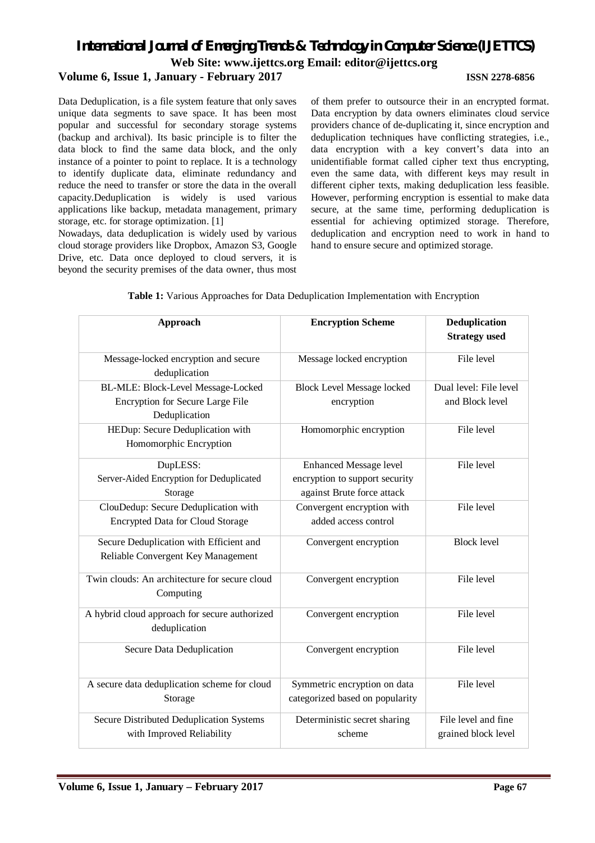# *International Journal of Emerging Trends & Technology in Computer Science (IJETTCS)* **Web Site: www.ijettcs.org Email: editor@ijettcs.org Volume 6, Issue 1, January - February 2017 ISSN 2278-6856**

Data Deduplication, is a file system feature that only saves unique data segments to save space. It has been most popular and successful for secondary storage systems (backup and archival). Its basic principle is to filter the data block to find the same data block, and the only instance of a pointer to point to replace. It is a technology to identify duplicate data, eliminate redundancy and reduce the need to transfer or store the data in the overall capacity.Deduplication is widely is used various applications like backup, metadata management, primary storage, etc. for storage optimization. [1]

Nowadays, data deduplication is widely used by various cloud storage providers like Dropbox, Amazon S3, Google Drive, etc. Data once deployed to cloud servers, it is beyond the security premises of the data owner, thus most

of them prefer to outsource their in an encrypted format. Data encryption by data owners eliminates cloud service providers chance of de-duplicating it, since encryption and deduplication techniques have conflicting strategies, i.e., data encryption with a key convert's data into an unidentifiable format called cipher text thus encrypting, even the same data, with different keys may result in different cipher texts, making deduplication less feasible. However, performing encryption is essential to make data secure, at the same time, performing deduplication is essential for achieving optimized storage. Therefore, deduplication and encryption need to work in hand to hand to ensure secure and optimized storage.

| Approach                                                                                | <b>Encryption Scheme</b>                                                                      | <b>Deduplication</b><br><b>Strategy</b> used |
|-----------------------------------------------------------------------------------------|-----------------------------------------------------------------------------------------------|----------------------------------------------|
| Message-locked encryption and secure<br>deduplication                                   | Message locked encryption                                                                     | File level                                   |
| BL-MLE: Block-Level Message-Locked<br>Encryption for Secure Large File<br>Deduplication | <b>Block Level Message locked</b><br>encryption                                               | Dual level: File level<br>and Block level    |
| HEDup: Secure Deduplication with<br>Homomorphic Encryption                              | Homomorphic encryption                                                                        | File level                                   |
| DupLESS:<br>Server-Aided Encryption for Deduplicated<br>Storage                         | <b>Enhanced Message level</b><br>encryption to support security<br>against Brute force attack | File level                                   |
| ClouDedup: Secure Deduplication with<br><b>Encrypted Data for Cloud Storage</b>         | Convergent encryption with<br>added access control                                            | File level                                   |
| Secure Deduplication with Efficient and<br>Reliable Convergent Key Management           | Convergent encryption                                                                         | <b>Block level</b>                           |
| Twin clouds: An architecture for secure cloud<br>Computing                              | Convergent encryption                                                                         | File level                                   |
| A hybrid cloud approach for secure authorized<br>deduplication                          | Convergent encryption                                                                         | File level                                   |
| Secure Data Deduplication                                                               | Convergent encryption                                                                         | File level                                   |
| A secure data deduplication scheme for cloud<br>Storage                                 | Symmetric encryption on data<br>categorized based on popularity                               | File level                                   |
| Secure Distributed Deduplication Systems<br>with Improved Reliability                   | Deterministic secret sharing<br>scheme                                                        | File level and fine<br>grained block level   |

|  | Table 1: Various Approaches for Data Deduplication Implementation with Encryption |  |  |  |  |  |
|--|-----------------------------------------------------------------------------------|--|--|--|--|--|
|  |                                                                                   |  |  |  |  |  |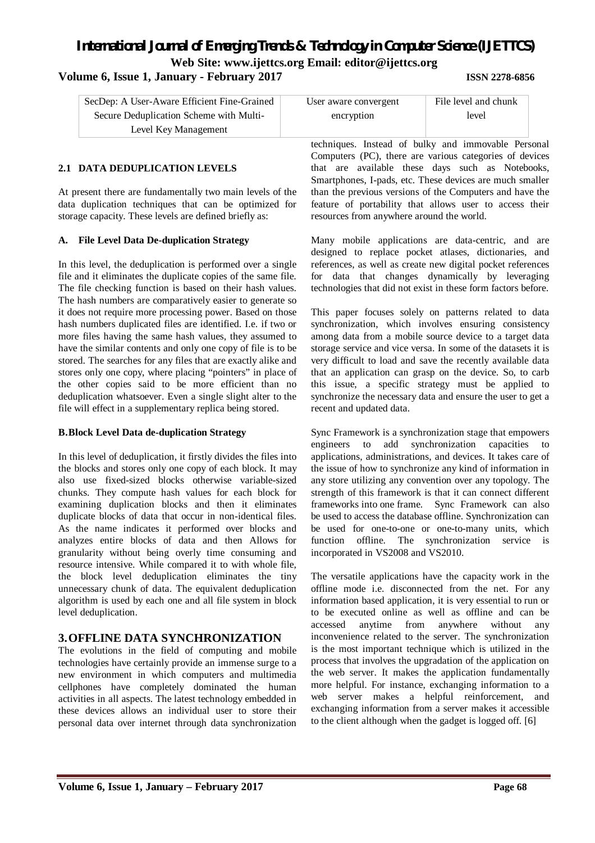# **Volume 6, Issue 1, January - February 2017 ISSN 2278-6856**

| SecDep: A User-Aware Efficient Fine-Grained | User aware convergent | File level and chunk |
|---------------------------------------------|-----------------------|----------------------|
| Secure Deduplication Scheme with Multi-     | encryption            | level                |
| Level Key Management                        |                       |                      |

# **2.1 DATA DEDUPLICATION LEVELS**

At present there are fundamentally two main levels of the data duplication techniques that can be optimized for storage capacity. These levels are defined briefly as:

## **A. File Level Data De-duplication Strategy**

In this level, the deduplication is performed over a single file and it eliminates the duplicate copies of the same file. The file checking function is based on their hash values. The hash numbers are comparatively easier to generate so it does not require more processing power. Based on those hash numbers duplicated files are identified. I.e. if two or more files having the same hash values, they assumed to have the similar contents and only one copy of file is to be stored. The searches for any files that are exactly alike and stores only one copy, where placing "pointers" in place of the other copies said to be more efficient than no deduplication whatsoever. Even a single slight alter to the file will effect in a supplementary replica being stored.

#### **B.Block Level Data de-duplication Strategy**

In this level of deduplication, it firstly divides the files into the blocks and stores only one copy of each block. It may also use fixed-sized blocks otherwise variable-sized chunks. They compute hash values for each block for examining duplication blocks and then it eliminates duplicate blocks of data that occur in non-identical files. As the name indicates it performed over blocks and analyzes entire blocks of data and then Allows for granularity without being overly time consuming and resource intensive. While compared it to with whole file, the block level deduplication eliminates the tiny unnecessary chunk of data. The equivalent deduplication algorithm is used by each one and all file system in block level deduplication.

# **3.OFFLINE DATA SYNCHRONIZATION**

The evolutions in the field of computing and mobile technologies have certainly provide an immense surge to a new environment in which computers and multimedia cellphones have completely dominated the human activities in all aspects. The latest technology embedded in these devices allows an individual user to store their personal data over internet through data synchronization

| ned | User aware convergent | File level and chunk |
|-----|-----------------------|----------------------|
|     | encryption            | level                |
|     |                       |                      |

techniques. Instead of bulky and immovable Personal Computers (PC), there are various categories of devices that are available these days such as Notebooks, Smartphones, I-pads, etc. These devices are much smaller than the previous versions of the Computers and have the feature of portability that allows user to access their resources from anywhere around the world.

Many mobile applications are data-centric, and are designed to replace pocket atlases, dictionaries, and references, as well as create new digital pocket references for data that changes dynamically by leveraging technologies that did not exist in these form factors before.

This paper focuses solely on patterns related to data synchronization, which involves ensuring consistency among data from a mobile source device to a target data storage service and vice versa. In some of the datasets it is very difficult to load and save the recently available data that an application can grasp on the device. So, to carb this issue, a specific strategy must be applied to synchronize the necessary data and ensure the user to get a recent and updated data.

Sync Framework is a synchronization stage that empowers engineers to add synchronization capacities to applications, administrations, and devices. It takes care of the issue of how to synchronize any kind of information in any store utilizing any convention over any topology. The strength of this framework is that it can connect different frameworks into one frame. Sync Framework can also be used to access the database offline. Synchronization can be used for one-to-one or one-to-many units, which function offline. The synchronization service is incorporated in VS2008 and VS2010.

The versatile applications have the capacity work in the offline mode i.e. disconnected from the net. For any information based application, it is very essential to run or to be executed online as well as offline and can be accessed anytime from anywhere without any inconvenience related to the server. The synchronization is the most important technique which is utilized in the process that involves the upgradation of the application on the web server. It makes the application fundamentally more helpful. For instance, exchanging information to a web server makes a helpful reinforcement, and exchanging information from a server makes it accessible to the client although when the gadget is logged off. [6]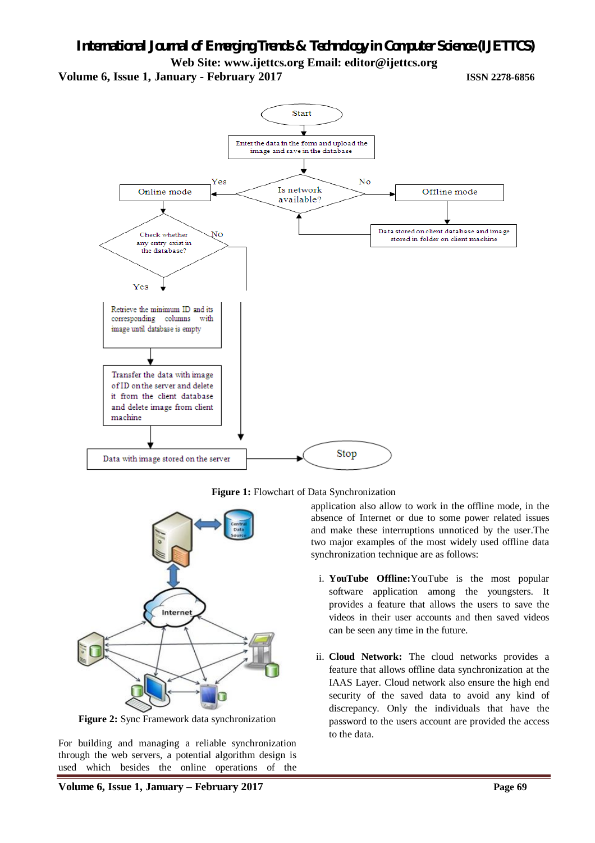**Volume 6, Issue 1, January - February 2017 ISSN 2278-6856**



**Figure 1:** Flowchart of Data Synchronization



**Figure 2:** Sync Framework data synchronization

For building and managing a reliable synchronization through the web servers, a potential algorithm design is used which besides the online operations of the application also allow to work in the offline mode, in the absence of Internet or due to some power related issues and make these interruptions unnoticed by the user.The two major examples of the most widely used offline data synchronization technique are as follows:

- i. **YouTube Offline:**YouTube is the most popular software application among the youngsters. It provides a feature that allows the users to save the videos in their user accounts and then saved videos can be seen any time in the future.
- ii. **Cloud Network:** The cloud networks provides a feature that allows offline data synchronization at the IAAS Layer. Cloud network also ensure the high end security of the saved data to avoid any kind of discrepancy. Only the individuals that have the password to the users account are provided the access to the data.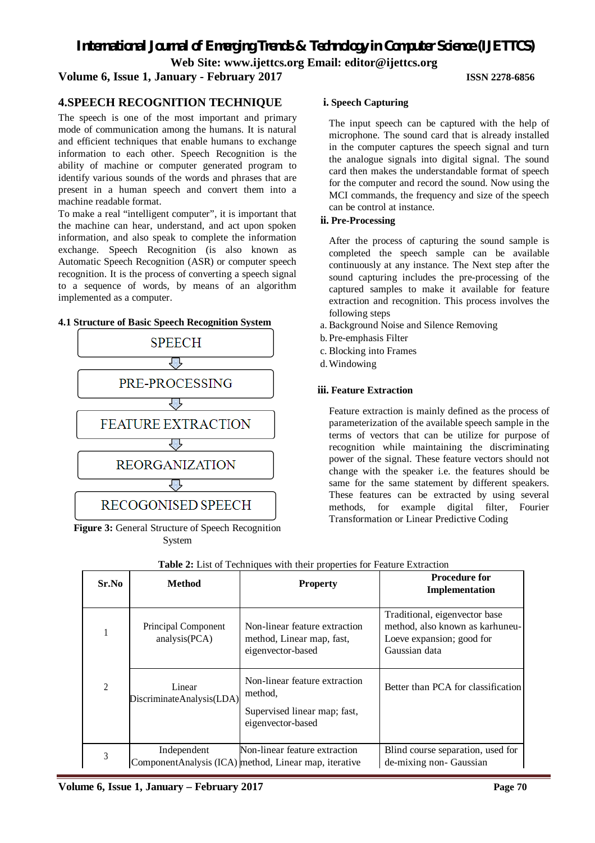*International Journal of Emerging Trends & Technology in Computer Science (IJETTCS)*

**Web Site: www.ijettcs.org Email: editor@ijettcs.org** 

# **Volume 6, Issue 1, January - February 2017 ISSN 2278-6856**

# **4.SPEECH RECOGNITION TECHNIQUE**

The speech is one of the most important and primary mode of communication among the humans. It is natural and efficient techniques that enable humans to exchange information to each other. Speech Recognition is the ability of machine or computer generated program to identify various sounds of the words and phrases that are present in a human speech and convert them into a machine readable format.

To make a real "intelligent computer", it is important that the machine can hear, understand, and act upon spoken information, and also speak to complete the information exchange. Speech Recognition (is also known as Automatic Speech Recognition (ASR) or computer speech recognition. It is the process of converting a speech signal to a sequence of words, by means of an algorithm implemented as a computer.

# **4.1 Structure of Basic Speech Recognition System**



**Figure 3:** General Structure of Speech Recognition System

# **i. Speech Capturing**

The input speech can be captured with the help of microphone. The sound card that is already installed in the computer captures the speech signal and turn the analogue signals into digital signal. The sound card then makes the understandable format of speech for the computer and record the sound. Now using the MCI commands, the frequency and size of the speech can be control at instance.

## **ii. Pre-Processing**

After the process of capturing the sound sample is completed the speech sample can be available continuously at any instance. The Next step after the sound capturing includes the pre-processing of the captured samples to make it available for feature extraction and recognition. This process involves the following steps

- a. Background Noise and Silence Removing
- b. Pre-emphasis Filter
- c. Blocking into Frames
- d.Windowing

# **iii. Feature Extraction**

Feature extraction is mainly defined as the process of parameterization of the available speech sample in the terms of vectors that can be utilize for purpose of recognition while maintaining the discriminating power of the signal. These feature vectors should not change with the speaker i.e. the features should be same for the same statement by different speakers. These features can be extracted by using several methods, for example digital filter, Fourier Transformation or Linear Predictive Coding

|  | Sr.No                                                                                              | <b>Method</b> | <b>Property</b>                                                                               | <b>Procedure for</b><br>Implementation                                                                         |  |
|--|----------------------------------------------------------------------------------------------------|---------------|-----------------------------------------------------------------------------------------------|----------------------------------------------------------------------------------------------------------------|--|
|  | Principal Component<br>1<br>analysis(PCA)<br>$\overline{2}$<br>Linear<br>DiscriminateAnalysis(LDA) |               | Non-linear feature extraction<br>method, Linear map, fast,<br>eigenvector-based               | Traditional, eigenvector base<br>method, also known as karhuneu-<br>Loeve expansion; good for<br>Gaussian data |  |
|  |                                                                                                    |               | Non-linear feature extraction<br>method,<br>Supervised linear map; fast,<br>eigenvector-based | Better than PCA for classification                                                                             |  |
|  | 3                                                                                                  | Independent   | Non-linear feature extraction<br>ComponentAnalysis (ICA) method, Linear map, iterative        | Blind course separation, used for<br>de-mixing non- Gaussian                                                   |  |

**Table 2:** List of Techniques with their properties for Feature Extraction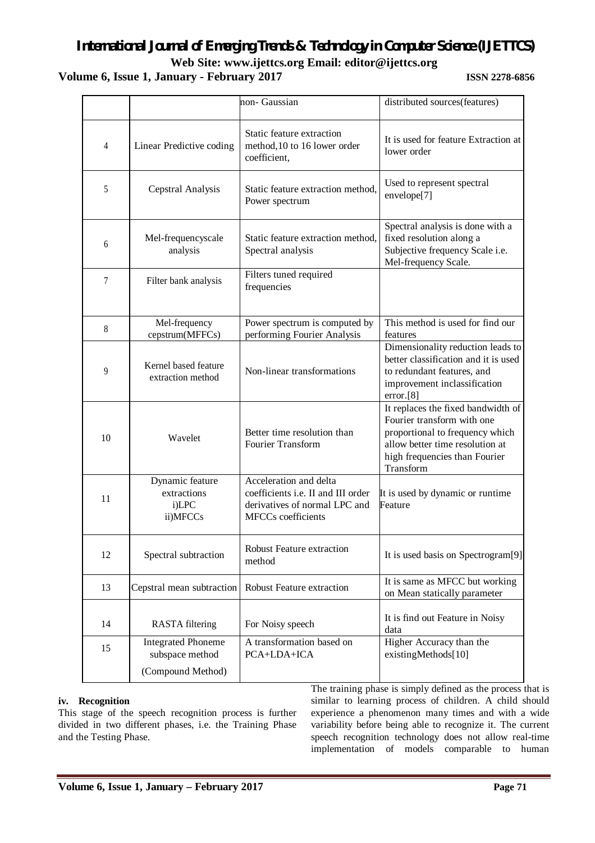# **Volume 6, Issue 1, January - February 2017 ISSN 2278-6856**

|    |                                                     | non- Gaussian                                                                                                                     | distributed sources(features)                                                                                                                                                        |  |
|----|-----------------------------------------------------|-----------------------------------------------------------------------------------------------------------------------------------|--------------------------------------------------------------------------------------------------------------------------------------------------------------------------------------|--|
| 4  | Linear Predictive coding                            | Static feature extraction<br>method, 10 to 16 lower order<br>coefficient,                                                         | It is used for feature Extraction at<br>lower order                                                                                                                                  |  |
| 5  | Cepstral Analysis                                   | Static feature extraction method,<br>Power spectrum                                                                               | Used to represent spectral<br>envelope[7]                                                                                                                                            |  |
| 6  | Mel-frequencyscale<br>analysis                      | Static feature extraction method,<br>Spectral analysis                                                                            | Spectral analysis is done with a<br>fixed resolution along a<br>Subjective frequency Scale i.e.<br>Mel-frequency Scale.                                                              |  |
| 7  | Filter bank analysis                                | Filters tuned required<br>frequencies                                                                                             |                                                                                                                                                                                      |  |
| 8  | Mel-frequency<br>cepstrum(MFFCs)                    | Power spectrum is computed by<br>performing Fourier Analysis                                                                      | This method is used for find our<br>features                                                                                                                                         |  |
| 9  | Kernel based feature<br>extraction method           | Non-linear transformations                                                                                                        | Dimensionality reduction leads to<br>better classification and it is used<br>to redundant features, and<br>improvement inclassification<br>error.[8]                                 |  |
| 10 | Wavelet                                             | Better time resolution than<br>Fourier Transform                                                                                  | It replaces the fixed bandwidth of<br>Fourier transform with one<br>proportional to frequency which<br>allow better time resolution at<br>high frequencies than Fourier<br>Transform |  |
| 11 | Dynamic feature<br>extractions<br>i)LPC<br>ii)MFCCs | Acceleration and delta<br>coefficients <i>i.e.</i> II and III order<br>derivatives of normal LPC and<br><b>MFCCs</b> coefficients | It is used by dynamic or runtime<br>Feature                                                                                                                                          |  |
| 12 | Spectral subtraction                                | <b>Robust Feature extraction</b><br>method                                                                                        | It is used basis on Spectrogram <sup>[9]</sup>                                                                                                                                       |  |
| 13 | Cepstral mean subtraction                           | Robust Feature extraction                                                                                                         | It is same as MFCC but working<br>on Mean statically parameter                                                                                                                       |  |
| 14 | <b>RASTA</b> filtering                              | For Noisy speech                                                                                                                  | It is find out Feature in Noisy<br>data                                                                                                                                              |  |
| 15 | <b>Integrated Phoneme</b><br>subspace method        | A transformation based on<br>PCA+LDA+ICA                                                                                          | Higher Accuracy than the<br>existingMethods[10]                                                                                                                                      |  |
|    | (Compound Method)                                   |                                                                                                                                   |                                                                                                                                                                                      |  |

# **iv. Recognition**

This stage of the speech recognition process is further divided in two different phases, i.e. the Training Phase and the Testing Phase.

The training phase is simply defined as the process that is similar to learning process of children. A child should experience a phenomenon many times and with a wide variability before being able to recognize it. The current speech recognition technology does not allow real-time implementation of models comparable to human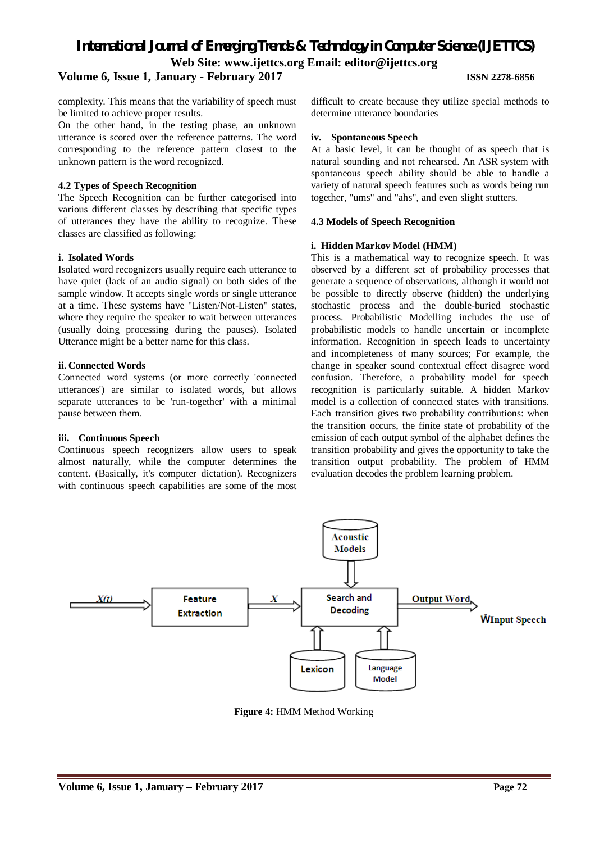# **Volume 6, Issue 1, January - February 2017 ISSN 2278-6856**

complexity. This means that the variability of speech must be limited to achieve proper results.

On the other hand, in the testing phase, an unknown utterance is scored over the reference patterns. The word corresponding to the reference pattern closest to the unknown pattern is the word recognized.

#### **4.2 Types of Speech Recognition**

The Speech Recognition can be further categorised into various different classes by describing that specific types of utterances they have the ability to recognize. These classes are classified as following:

#### **i. Isolated Words**

Isolated word recognizers usually require each utterance to have quiet (lack of an audio signal) on both sides of the sample window. It accepts single words or single utterance at a time. These systems have "Listen/Not-Listen" states, where they require the speaker to wait between utterances (usually doing processing during the pauses). Isolated Utterance might be a better name for this class.

## **ii. Connected Words**

Connected word systems (or more correctly 'connected utterances') are similar to isolated words, but allows separate utterances to be 'run-together' with a minimal pause between them.

#### **iii. Continuous Speech**

Continuous speech recognizers allow users to speak almost naturally, while the computer determines the content. (Basically, it's computer dictation). Recognizers with continuous speech capabilities are some of the most difficult to create because they utilize special methods to determine utterance boundaries

#### **iv. Spontaneous Speech**

At a basic level, it can be thought of as speech that is natural sounding and not rehearsed. An ASR system with spontaneous speech ability should be able to handle a variety of natural speech features such as words being run together, "ums" and "ahs", and even slight stutters.

## **4.3 Models of Speech Recognition**

## **i. Hidden Markov Model (HMM)**

This is a mathematical way to recognize speech. It was observed by a different set of probability processes that generate a sequence of observations, although it would not be possible to directly observe (hidden) the underlying stochastic process and the double-buried stochastic process. Probabilistic Modelling includes the use of probabilistic models to handle uncertain or incomplete information. Recognition in speech leads to uncertainty and incompleteness of many sources; For example, the change in speaker sound contextual effect disagree word confusion. Therefore, a probability model for speech recognition is particularly suitable. A hidden Markov model is a collection of connected states with transitions. Each transition gives two probability contributions: when the transition occurs, the finite state of probability of the emission of each output symbol of the alphabet defines the transition probability and gives the opportunity to take the transition output probability. The problem of HMM evaluation decodes the problem learning problem.



**Figure 4:** HMM Method Working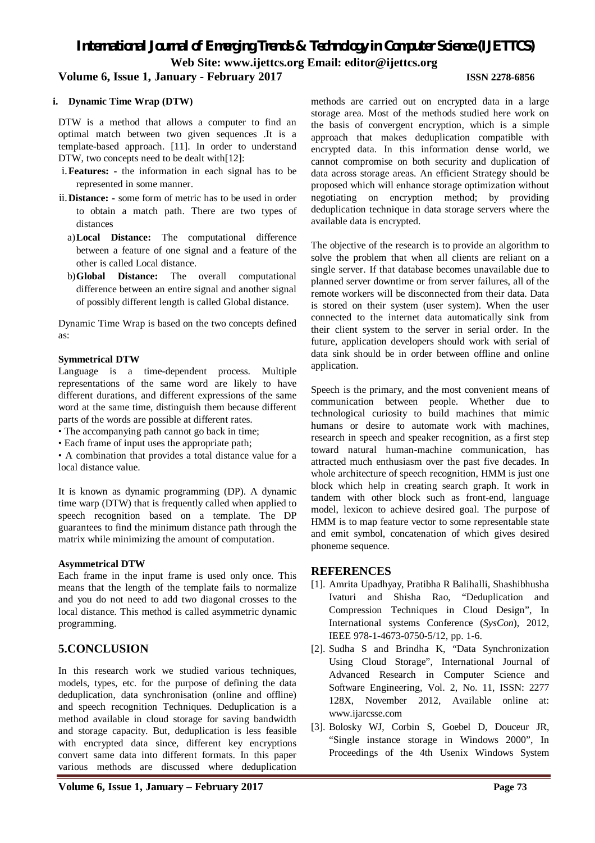# **Volume 6, Issue 1, January - February 2017 ISSN 2278-6856**

#### **i. Dynamic Time Wrap (DTW)**

DTW is a method that allows a computer to find an optimal match between two given sequences .It is a template-based approach. [11]. In order to understand DTW, two concepts need to be dealt with[12]:

- i.**Features: -** the information in each signal has to be represented in some manner.
- ii.**Distance: -** some form of metric has to be used in order to obtain a match path. There are two types of distances
	- a)**Local Distance:** The computational difference between a feature of one signal and a feature of the other is called Local distance.
	- b)**Global Distance:** The overall computational difference between an entire signal and another signal of possibly different length is called Global distance.

Dynamic Time Wrap is based on the two concepts defined as:

#### **Symmetrical DTW**

Language is a time-dependent process. Multiple representations of the same word are likely to have different durations, and different expressions of the same word at the same time, distinguish them because different parts of the words are possible at different rates.

- The accompanying path cannot go back in time;
- Each frame of input uses the appropriate path;

• A combination that provides a total distance value for a local distance value.

It is known as dynamic programming (DP). A dynamic time warp (DTW) that is frequently called when applied to speech recognition based on a template. The DP guarantees to find the minimum distance path through the matrix while minimizing the amount of computation.

#### **Asymmetrical DTW**

Each frame in the input frame is used only once. This means that the length of the template fails to normalize and you do not need to add two diagonal crosses to the local distance. This method is called asymmetric dynamic programming.

# **5.CONCLUSION**

In this research work we studied various techniques, models, types, etc. for the purpose of defining the data deduplication, data synchronisation (online and offline) and speech recognition Techniques. Deduplication is a method available in cloud storage for saving bandwidth and storage capacity. But, deduplication is less feasible with encrypted data since, different key encryptions convert same data into different formats. In this paper various methods are discussed where deduplication

methods are carried out on encrypted data in a large storage area. Most of the methods studied here work on the basis of convergent encryption, which is a simple approach that makes deduplication compatible with encrypted data. In this information dense world, we cannot compromise on both security and duplication of data across storage areas. An efficient Strategy should be proposed which will enhance storage optimization without negotiating on encryption method; by providing deduplication technique in data storage servers where the available data is encrypted.

The objective of the research is to provide an algorithm to solve the problem that when all clients are reliant on a single server. If that database becomes unavailable due to planned server downtime or from server failures, all of the remote workers will be disconnected from their data. Data is stored on their system (user system). When the user connected to the internet data automatically sink from their client system to the server in serial order. In the future, application developers should work with serial of data sink should be in order between offline and online application.

Speech is the primary, and the most convenient means of communication between people. Whether due to technological curiosity to build machines that mimic humans or desire to automate work with machines, research in speech and speaker recognition, as a first step toward natural human-machine communication, has attracted much enthusiasm over the past five decades. In whole architecture of speech recognition, HMM is just one block which help in creating search graph. It work in tandem with other block such as front-end, language model, lexicon to achieve desired goal. The purpose of HMM is to map feature vector to some representable state and emit symbol, concatenation of which gives desired phoneme sequence.

# **REFERENCES**

- [1]. Amrita Upadhyay, Pratibha R Balihalli, Shashibhusha Ivaturi and Shisha Rao, "Deduplication and Compression Techniques in Cloud Design", In International systems Conference (*SysCon*), 2012, IEEE 978-1-4673-0750-5/12, pp. 1-6.
- [2]. Sudha S and Brindha K, "Data Synchronization Using Cloud Storage", International Journal of Advanced Research in Computer Science and Software Engineering, Vol. 2, No. 11, ISSN: 2277 128X, November 2012, Available online at: www.ijarcsse.com
- [3]. Bolosky WJ, Corbin S, Goebel D, Douceur JR, "Single instance storage in Windows 2000", In Proceedings of the 4th Usenix Windows System